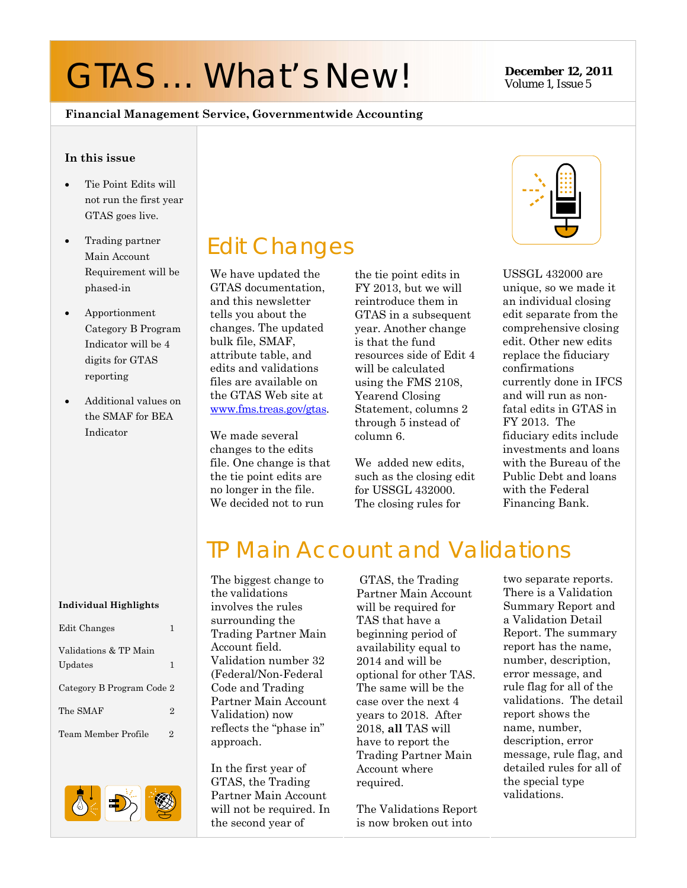# GTAS ... What's New! **December 12, 2011**

## Volume 1, Issue 5

#### **Financial Management Service, Governmentwide Accounting**

#### **In this issue**

- Tie Point Edits will not run the first year GTAS goes live.
- Trading partner Main Account Requirement will be phased-in
- Apportionment Category B Program Indicator will be 4 digits for GTAS reporting
- Additional values on the SMAF for BEA Indicator

## Edit Changes

We have updated the GTAS documentation, and this newsletter tells you about the changes. The updated bulk file, SMAF, attribute table, and edits and validations files are available on the GTAS Web site at www.fms.treas.gov/gtas.

We made several changes to the edits file. One change is that the tie point edits are no longer in the file. We decided not to run

the tie point edits in FY 2013, but we will reintroduce them in GTAS in a subsequent year. Another change is that the fund resources side of Edit 4 will be calculated using the FMS 2108, Yearend Closing Statement, columns 2 through 5 instead of column 6.

We added new edits. such as the closing edit for USSGL 432000. The closing rules for



USSGL 432000 are unique, so we made it an individual closing edit separate from the comprehensive closing edit. Other new edits replace the fiduciary confirmations currently done in IFCS and will run as nonfatal edits in GTAS in FY 2013. The fiduciary edits include investments and loans with the Bureau of the Public Debt and loans with the Federal Financing Bank.

### TP Main Account and Validations

#### **Individual Highlights**

| Edit Changes                     |   |
|----------------------------------|---|
| Validations & TP Main<br>Updates | 1 |
| Category B Program Code 2        |   |
| The SMAF                         | 2 |
| Team Member Profile              | 2 |



The biggest change to the validations involves the rules surrounding the Trading Partner Main Account field. Validation number 32 (Federal/Non-Federal Code and Trading Partner Main Account Validation) now reflects the "phase in" approach.

In the first year of GTAS, the Trading Partner Main Account will not be required. In the second year of

 GTAS, the Trading Partner Main Account will be required for TAS that have a beginning period of availability equal to 2014 and will be optional for other TAS. The same will be the case over the next 4 years to 2018. After 2018, **all** TAS will have to report the Trading Partner Main Account where required.

The Validations Report is now broken out into

two separate reports. There is a Validation Summary Report and a Validation Detail Report. The summary report has the name, number, description, error message, and rule flag for all of the validations. The detail report shows the name, number, description, error message, rule flag, and detailed rules for all of the special type validations.